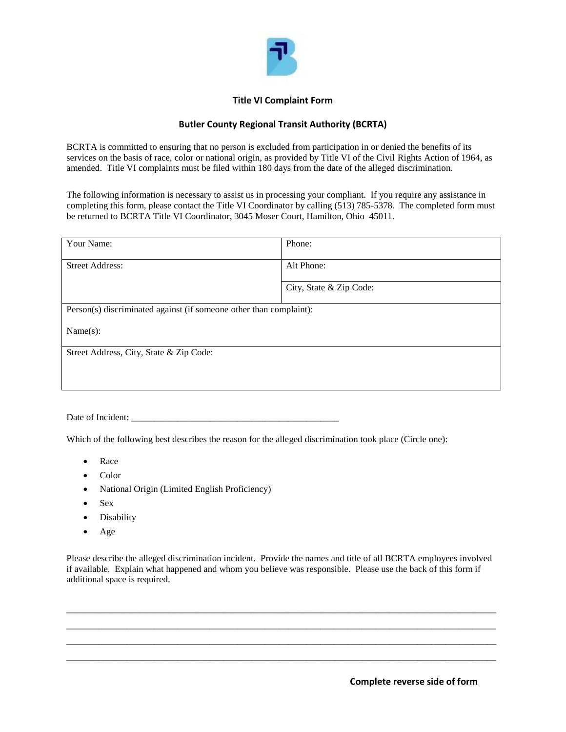

## **Title VI Complaint Form**

## **Butler County Regional Transit Authority (BCRTA)**

BCRTA is committed to ensuring that no person is excluded from participation in or denied the benefits of its services on the basis of race, color or national origin, as provided by Title VI of the Civil Rights Action of 1964, as amended. Title VI complaints must be filed within 180 days from the date of the alleged discrimination.

The following information is necessary to assist us in processing your compliant. If you require any assistance in completing this form, please contact the Title VI Coordinator by calling (513) 785-5378. The completed form must be returned to BCRTA Title VI Coordinator, 3045 Moser Court, Hamilton, Ohio 45011.

| Your Name:                                                         | Phone:                  |  |  |
|--------------------------------------------------------------------|-------------------------|--|--|
| <b>Street Address:</b>                                             | Alt Phone:              |  |  |
|                                                                    | City, State & Zip Code: |  |  |
| Person(s) discriminated against (if someone other than complaint): |                         |  |  |
| Name(s):                                                           |                         |  |  |
| Street Address, City, State & Zip Code:                            |                         |  |  |
|                                                                    |                         |  |  |

Date of Incident:

Which of the following best describes the reason for the alleged discrimination took place (Circle one):

- Race
- Color
- National Origin (Limited English Proficiency)
- Sex
- Disability
- Age

Please describe the alleged discrimination incident. Provide the names and title of all BCRTA employees involved if available. Explain what happened and whom you believe was responsible. Please use the back of this form if additional space is required.

 $\_$  ,  $\_$  ,  $\_$  ,  $\_$  ,  $\_$  ,  $\_$  ,  $\_$  ,  $\_$  ,  $\_$  ,  $\_$  ,  $\_$  ,  $\_$  ,  $\_$  ,  $\_$  ,  $\_$  ,  $\_$  ,  $\_$  ,  $\_$  ,  $\_$  ,  $\_$  ,  $\_$  ,  $\_$  ,  $\_$  ,  $\_$  ,  $\_$  ,  $\_$  ,  $\_$  ,  $\_$  ,  $\_$  ,  $\_$  ,  $\_$  ,  $\_$  ,  $\_$  ,  $\_$  ,  $\_$  ,  $\_$  ,  $\_$  , \_\_\_\_\_\_\_\_\_\_\_\_\_\_\_\_\_\_\_\_\_\_\_\_\_\_\_\_\_\_\_\_\_\_\_\_\_\_\_\_\_\_\_\_\_\_\_\_\_\_\_\_\_\_\_\_\_\_\_\_\_\_\_\_\_\_\_\_\_\_\_\_\_\_\_\_\_\_\_\_\_\_\_\_\_\_\_\_\_\_\_\_\_ \_\_\_\_\_\_\_\_\_\_\_\_\_\_\_\_\_\_\_\_\_\_\_\_\_\_\_\_\_\_\_\_\_\_\_\_\_\_\_\_\_\_\_\_\_\_\_\_\_\_\_\_\_\_\_\_\_\_\_\_\_\_\_\_\_\_\_\_\_\_\_\_\_\_\_\_\_\_\_\_\_\_\_\_\_\_\_\_\_\_\_\_\_ \_\_\_\_\_\_\_\_\_\_\_\_\_\_\_\_\_\_\_\_\_\_\_\_\_\_\_\_\_\_\_\_\_\_\_\_\_\_\_\_\_\_\_\_\_\_\_\_\_\_\_\_\_\_\_\_\_\_\_\_\_\_\_\_\_\_\_\_\_\_\_\_\_\_\_\_\_\_\_\_\_\_\_\_\_\_\_\_\_\_\_\_\_

**Complete reverse side of form**